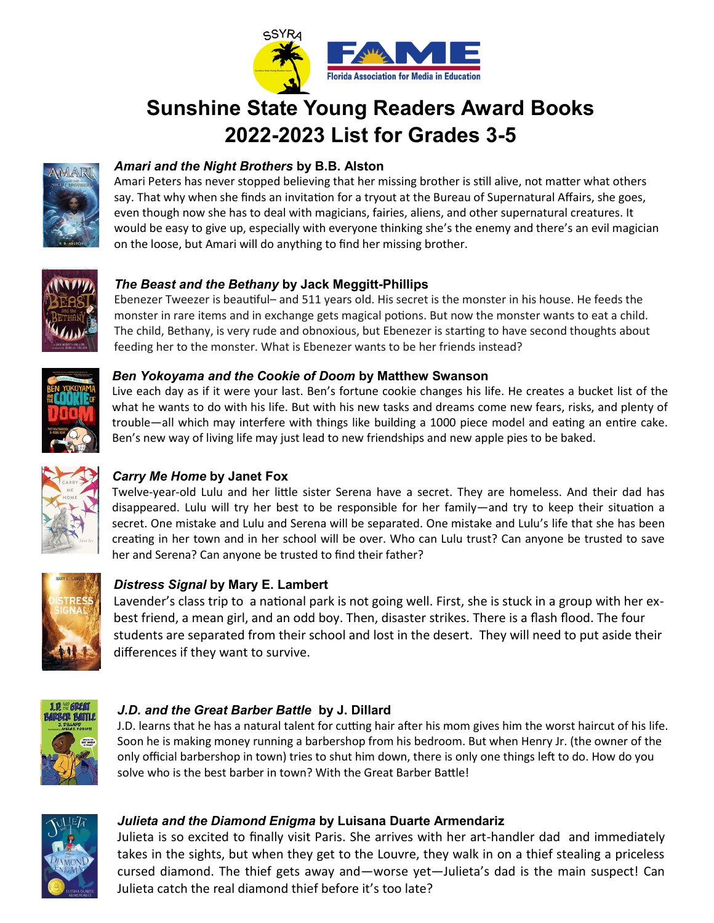

# **Sunshine State Young Readers Award Books 2022-2023 List for Grades 3-5**



# *Amari and the Night Brothers* **by B.B. Alston**

Amari Peters has never stopped believing that her missing brother is still alive, not matter what others say. That why when she finds an invitation for a tryout at the Bureau of Supernatural Affairs, she goes, even though now she has to deal with magicians, fairies, aliens, and other supernatural creatures. It would be easy to give up, especially with everyone thinking she's the enemy and there's an evil magician on the loose, but Amari will do anything to find her missing brother.



## *The Beast and the Bethany* **by Jack Meggitt-Phillips**

Ebenezer Tweezer is beautiful– and 511 years old. His secret is the monster in his house. He feeds the monster in rare items and in exchange gets magical potions. But now the monster wants to eat a child. The child, Bethany, is very rude and obnoxious, but Ebenezer is starting to have second thoughts about feeding her to the monster. What is Ebenezer wants to be her friends instead?



#### *Ben Yokoyama and the Cookie of Doom* **by Matthew Swanson**

Live each day as if it were your last. Ben's fortune cookie changes his life. He creates a bucket list of the what he wants to do with his life. But with his new tasks and dreams come new fears, risks, and plenty of trouble—all which may interfere with things like building a 1000 piece model and eating an entire cake. Ben's new way of living life may just lead to new friendships and new apple pies to be baked.



# *Carry Me Home* **by Janet Fox**

Twelve-year-old Lulu and her little sister Serena have a secret. They are homeless. And their dad has disappeared. Lulu will try her best to be responsible for her family—and try to keep their situation a secret. One mistake and Lulu and Serena will be separated. One mistake and Lulu's life that she has been creating in her town and in her school will be over. Who can Lulu trust? Can anyone be trusted to save her and Serena? Can anyone be trusted to find their father?



# *Distress Signal* **by Mary E. Lambert**

Lavender's class trip to a national park is not going well. First, she is stuck in a group with her exbest friend, a mean girl, and an odd boy. Then, disaster strikes. There is a flash flood. The four students are separated from their school and lost in the desert. They will need to put aside their differences if they want to survive.



## *J.D. and the Great Barber Battle* **by J. Dillard**

J.D. learns that he has a natural talent for cutting hair after his mom gives him the worst haircut of his life. Soon he is making money running a barbershop from his bedroom. But when Henry Jr. (the owner of the only official barbershop in town) tries to shut him down, there is only one things left to do. How do you solve who is the best barber in town? With the Great Barber Battle!



## *Julieta and the Diamond Enigma* **by Luisana Duarte Armendariz**

Julieta is so excited to finally visit Paris. She arrives with her art-handler dad and immediately takes in the sights, but when they get to the Louvre, they walk in on a thief stealing a priceless cursed diamond. The thief gets away and—worse yet—Julieta's dad is the main suspect! Can Julieta catch the real diamond thief before it's too late?